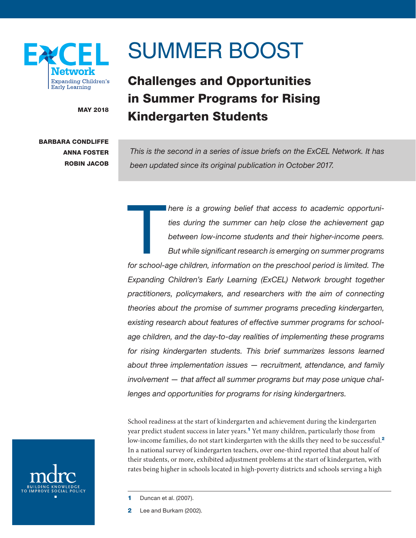

# SUMMER BOOST

# Challenges and Opportunities in Summer Programs for Rising MAY 2018 **Kindergarten Students**

# BARBARA CONDLIFFE ANNA FOSTER ROBIN JACOB

*This is the second in a series of issue briefs on the ExCEL Network. It has been updated since its original publication in October 2017.*

 $\begin{array}{c} \hline \end{array}$ *here is a growing belief that access to academic opportunities during the summer can help close the achievement gap between low-income students and their higher-income peers. But while significant research is emerging on summer programs*  for school-age children, information on the preschool period is limited. The *Expanding Children's Early Learning (ExCEL) Network brought together practitioners, policymakers, and researchers with the aim of connecting theories about the promise of summer programs preceding kindergarten, existing research about features of effective summer programs for schoolage children, and the day-to-day realities of implementing these programs for rising kindergarten students. This brief summarizes lessons learned about three implementation issues — recruitment, attendance, and family involvement — that affect all summer programs but may pose unique challenges and opportunities for programs for rising kindergartners.*

School readiness at the start of kindergarten and achievement during the kindergarten year predict student success in later years.<sup>1</sup> Yet many children, particularly those from low-income families, do not start kindergarten with the skills they need to be successful.<sup>2</sup> In a national survey of kindergarten teachers, over one-third reported that about half of their students, or more, exhibited adjustment problems at the start of kindergarten, with rates being higher in schools located in high-poverty districts and schools serving a high



2 Lee and Burkam (2002).

<sup>1</sup> Duncan et al. (2007).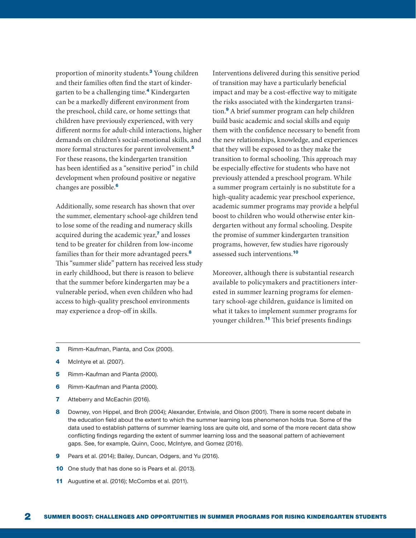proportion of minority students.<sup>3</sup> Young children and their families often find the start of kindergarten to be a challenging time.<sup>4</sup> Kindergarten can be a markedly different environment from the preschool, child care, or home settings that children have previously experienced, with very different norms for adult-child interactions, higher demands on children's social-emotional skills, and more formal structures for parent involvement.<sup>5</sup> For these reasons, the kindergarten transition has been identified as a "sensitive period" in child development when profound positive or negative changes are possible.<sup>6</sup>

Additionally, some research has shown that over the summer, elementary school-age children tend to lose some of the reading and numeracy skills acquired during the academic year,<sup>7</sup> and losses tend to be greater for children from low-income families than for their more advantaged peers.<sup>8</sup> This "summer slide" pattern has received less study in early childhood, but there is reason to believe that the summer before kindergarten may be a vulnerable period, when even children who had access to high-quality preschool environments may experience a drop-off in skills.

Interventions delivered during this sensitive period of transition may have a particularly beneficial impact and may be a cost-effective way to mitigate the risks associated with the kindergarten transition.<sup>9</sup> A brief summer program can help children build basic academic and social skills and equip them with the confidence necessary to benefit from the new relationships, knowledge, and experiences that they will be exposed to as they make the transition to formal schooling. This approach may be especially effective for students who have not previously attended a preschool program. While a summer program certainly is no substitute for a high-quality academic year preschool experience, academic summer programs may provide a helpful boost to children who would otherwise enter kindergarten without any formal schooling. Despite the promise of summer kindergarten transition programs, however, few studies have rigorously assessed such interventions.<sup>10</sup>

Moreover, although there is substantial research available to policymakers and practitioners interested in summer learning programs for elementary school-age children, guidance is limited on what it takes to implement summer programs for younger children.<sup>11</sup> This brief presents findings

- **3** Rimm-Kaufman, Pianta, and Cox (2000).
- 4 McIntyre et al. (2007).
- 5 Rimm-Kaufman and Pianta (2000).
- 6 Rimm-Kaufman and Pianta (2000).
- 7 Atteberry and McEachin (2016).
- 8 Downey, von Hippel, and Broh (2004); Alexander, Entwisle, and Olson (2001). There is some recent debate in the education field about the extent to which the summer learning loss phenomenon holds true. Some of the data used to establish patterns of summer learning loss are quite old, and some of the more recent data show conflicting findings regarding the extent of summer learning loss and the seasonal pattern of achievement gaps. See, for example, Quinn, Cooc, McIntyre, and Gomez (2016).
- 9 Pears et al. (2014); Bailey, Duncan, Odgers, and Yu (2016).
- 10 One study that has done so is Pears et al. (2013).
- 11 Augustine et al. (2016); McCombs et al. (2011).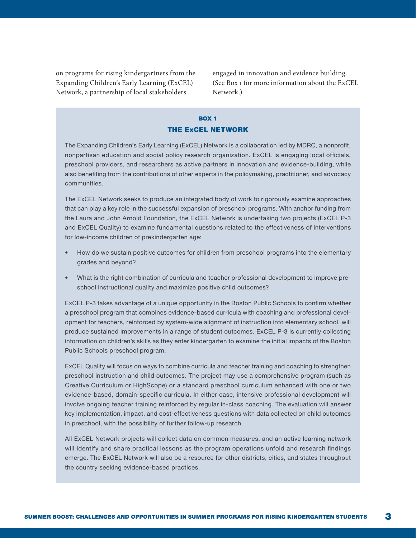on programs for rising kindergartners from the Expanding Children's Early Learning (ExCEL) Network, a partnership of local stakeholders

engaged in innovation and evidence building. (See Box 1 for more information about the ExCEL Network.)

# BOX 1 THE ExCEL NETWORK

The Expanding Children's Early Learning (ExCEL) Network is a collaboration led by MDRC, a nonprofit, nonpartisan education and social policy research organization. ExCEL is engaging local officials, preschool providers, and researchers as active partners in innovation and evidence-building, while also benefiting from the contributions of other experts in the policymaking, practitioner, and advocacy communities.

The ExCEL Network seeks to produce an integrated body of work to rigorously examine approaches that can play a key role in the successful expansion of preschool programs. With anchor funding from the Laura and John Arnold Foundation, the ExCEL Network is undertaking two projects (ExCEL P-3 and ExCEL Quality) to examine fundamental questions related to the effectiveness of interventions for low-income children of prekindergarten age:

- How do we sustain positive outcomes for children from preschool programs into the elementary grades and beyond?
- What is the right combination of curricula and teacher professional development to improve preschool instructional quality and maximize positive child outcomes?

ExCEL P-3 takes advantage of a unique opportunity in the Boston Public Schools to confirm whether a preschool program that combines evidence-based curricula with coaching and professional development for teachers, reinforced by system-wide alignment of instruction into elementary school, will produce sustained improvements in a range of student outcomes. ExCEL P-3 is currently collecting information on children's skills as they enter kindergarten to examine the initial impacts of the Boston Public Schools preschool program.

ExCEL Quality will focus on ways to combine curricula and teacher training and coaching to strengthen preschool instruction and child outcomes. The project may use a comprehensive program (such as Creative Curriculum or HighScope) or a standard preschool curriculum enhanced with one or two evidence-based, domain-specific curricula. In either case, intensive professional development will involve ongoing teacher training reinforced by regular in-class coaching. The evaluation will answer key implementation, impact, and cost-effectiveness questions with data collected on child outcomes in preschool, with the possibility of further follow-up research.

All ExCEL Network projects will collect data on common measures, and an active learning network will identify and share practical lessons as the program operations unfold and research findings emerge. The ExCEL Network will also be a resource for other districts, cities, and states throughout the country seeking evidence-based practices.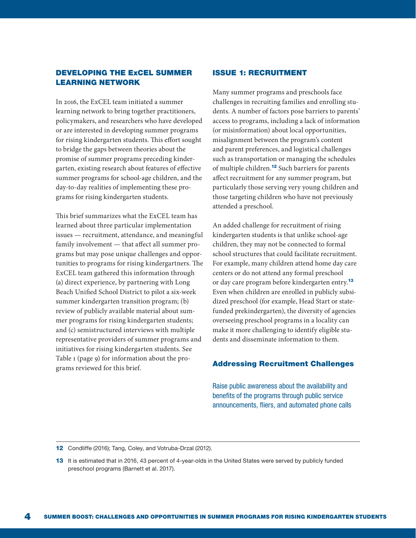## DEVELOPING THE ExCEL SUMMER LEARNING NETWORK

In 2016, the ExCEL team initiated a summer learning network to bring together practitioners, policymakers, and researchers who have developed or are interested in developing summer programs for rising kindergarten students. This effort sought to bridge the gaps between theories about the promise of summer programs preceding kindergarten, existing research about features of effective summer programs for school-age children, and the day-to-day realities of implementing these programs for rising kindergarten students.

This brief summarizes what the ExCEL team has learned about three particular implementation issues — recruitment, attendance, and meaningful family involvement — that affect all summer programs but may pose unique challenges and opportunities to programs for rising kindergartners. The ExCEL team gathered this information through (a) direct experience, by partnering with Long Beach Unified School District to pilot a six-week summer kindergarten transition program; (b) review of publicly available material about summer programs for rising kindergarten students; and (c) semistructured interviews with multiple representative providers of summer programs and initiatives for rising kindergarten students. See Table 1 (page 9) for information about the programs reviewed for this brief.

#### ISSUE 1: RECRUITMENT

Many summer programs and preschools face challenges in recruiting families and enrolling students. A number of factors pose barriers to parents' access to programs, including a lack of information (or misinformation) about local opportunities, misalignment between the program's content and parent preferences, and logistical challenges such as transportation or managing the schedules of multiple children.<sup>12</sup> Such barriers for parents affect recruitment for any summer program, but particularly those serving very young children and those targeting children who have not previously attended a preschool.

An added challenge for recruitment of rising kindergarten students is that unlike school-age children, they may not be connected to formal school structures that could facilitate recruitment. For example, many children attend home day care centers or do not attend any formal preschool or day care program before kindergarten entry.<sup>13</sup> Even when children are enrolled in publicly subsidized preschool (for example, Head Start or statefunded prekindergarten), the diversity of agencies overseeing preschool programs in a locality can make it more challenging to identify eligible students and disseminate information to them.

#### Addressing Recruitment Challenges

Raise public awareness about the availability and benefits of the programs through public service announcements, fliers, and automated phone calls

12 Condliffe (2016); Tang, Coley, and Votruba-Drzal (2012).

<sup>13</sup> It is estimated that in 2016, 43 percent of 4-year-olds in the United States were served by publicly funded preschool programs (Barnett et al. 2017).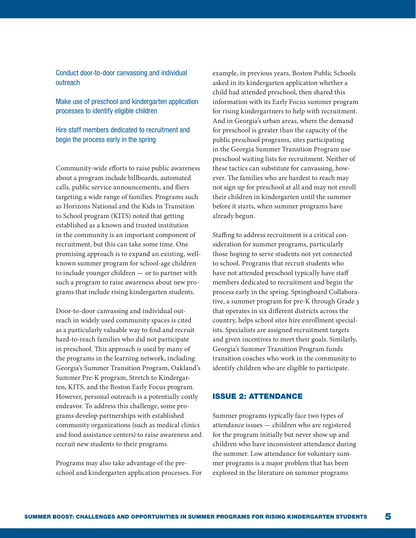Conduct door-to-door canvassing and individual outreach

Make use of preschool and kindergarten application processes to identify eligible children

Hire staff members dedicated to recruitment and begin the process early in the spring

Community-wide efforts to raise public awareness about a program include billboards, automated calls, public service announcements, and fliers targeting a wide range of families. Programs such as Horizons National and the Kids in Transition to School program (KITS) noted that getting established as a known and trusted institution in the community is an important component of recruitment, but this can take some time. One promising approach is to expand an existing, wellknown summer program for school-age children to include younger children — or to partner with such a program to raise awareness about new programs that include rising kindergarten students.

Door-to-door canvassing and individual outreach in widely used community spaces is cited as a particularly valuable way to find and recruit hard-to-reach families who did not participate in preschool. This approach is used by many of the programs in the learning network, including Georgia's Summer Transition Program, Oakland's Summer Pre-K program, Stretch to Kindergarten, KITS, and the Boston Early Focus program. However, personal outreach is a potentially costly endeavor. To address this challenge, some programs develop partnerships with established community organizations (such as medical clinics and food assistance centers) to raise awareness and recruit new students to their programs.

Programs may also take advantage of the preschool and kindergarten application processes. For example, in previous years, Boston Public Schools asked in its kindergarten application whether a child had attended preschool, then shared this information with its Early Focus summer program for rising kindergartners to help with recruitment. And in Georgia's urban areas, where the demand for preschool is greater than the capacity of the public preschool programs, sites participating in the Georgia Summer Transition Program use preschool waiting lists for recruitment. Neither of these tactics can substitute for canvassing, however. The families who are hardest to reach may not sign up for preschool at all and may not enroll their children in kindergarten until the summer before it starts, when summer programs have already begun.

Staffing to address recruitment is a critical consideration for summer programs, particularly those hoping to serve students not yet connected to school. Programs that recruit students who have not attended preschool typically have staff members dedicated to recruitment and begin the process early in the spring. Springboard Collaborative, a summer program for pre-K through Grade 3 that operates in six different districts across the country, helps school sites hire enrollment specialists. Specialists are assigned recruitment targets and given incentives to meet their goals. Similarly, Georgia's Summer Transition Program funds transition coaches who work in the community to identify children who are eligible to participate.

#### ISSUE 2: ATTENDANCE

Summer programs typically face two types of attendance issues — children who are registered for the program initially but never show up and children who have inconsistent attendance during the summer. Low attendance for voluntary summer programs is a major problem that has been explored in the literature on summer programs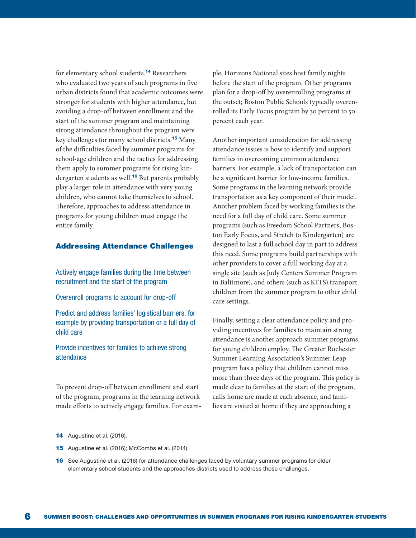for elementary school students.<sup>14</sup> Researchers who evaluated two years of such programs in five urban districts found that academic outcomes were stronger for students with higher attendance, but avoiding a drop-off between enrollment and the start of the summer program and maintaining strong attendance throughout the program were key challenges for many school districts.<sup>15</sup> Many of the difficulties faced by summer programs for school-age children and the tactics for addressing them apply to summer programs for rising kindergarten students as well.<sup>16</sup> But parents probably play a larger role in attendance with very young children, who cannot take themselves to school. Therefore, approaches to address attendance in programs for young children must engage the entire family.

#### Addressing Attendance Challenges

Actively engage families during the time between recruitment and the start of the program

Overenroll programs to account for drop-off

Predict and address families' logistical barriers, for example by providing transportation or a full day of child care

Provide incentives for families to achieve strong attendance

To prevent drop-off between enrollment and start of the program, programs in the learning network made efforts to actively engage families. For example, Horizons National sites host family nights before the start of the program. Other programs plan for a drop-off by overenrolling programs at the outset; Boston Public Schools typically overenrolled its Early Focus program by 30 percent to 50 percent each year.

Another important consideration for addressing attendance issues is how to identify and support families in overcoming common attendance barriers. For example, a lack of transportation can be a significant barrier for low-income families. Some programs in the learning network provide transportation as a key component of their model. Another problem faced by working families is the need for a full day of child care. Some summer programs (such as Freedom School Partners, Boston Early Focus, and Stretch to Kindergarten) are designed to last a full school day in part to address this need. Some programs build partnerships with other providers to cover a full working day at a single site (such as Judy Centers Summer Program in Baltimore), and others (such as KITS) transport children from the summer program to other child care settings.

Finally, setting a clear attendance policy and providing incentives for families to maintain strong attendance is another approach summer programs for young children employ. The Greater Rochester Summer Learning Association's Summer Leap program has a policy that children cannot miss more than three days of the program. This policy is made clear to families at the start of the program, calls home are made at each absence, and families are visited at home if they are approaching a

15 Augustine et al. (2016); McCombs et al. (2014).

<sup>14</sup> Augustine et al. (2016).

<sup>16</sup> See Augustine et al. (2016) for attendance challenges faced by voluntary summer programs for older elementary school students and the approaches districts used to address those challenges.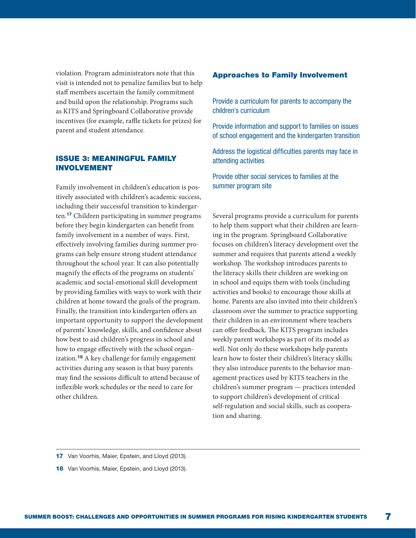violation. Program administrators note that this visit is intended not to penalize families but to help staff members ascertain the family commitment and build upon the relationship. Programs such as KITS and Springboard Collaborative provide incentives (for example, raffle tickets for prizes) for parent and student attendance.

### ISSUE 3: MEANINGFUL FAMILY INVOLVEMENT

Family involvement in children's education is positively associated with children's academic success, including their successful transition to kindergarten.<sup>17</sup> Children participating in summer programs before they begin kindergarten can benefit from family involvement in a number of ways. First, effectively involving families during summer programs can help ensure strong student attendance throughout the school year. It can also potentially magnify the effects of the programs on students' academic and social-emotional skill development by providing families with ways to work with their children at home toward the goals of the program. Finally, the transition into kindergarten offers an important opportunity to support the development of parents' knowledge, skills, and confidence about how best to aid children's progress in school and how to engage effectively with the school organization.<sup>18</sup> A key challenge for family engagement activities during any season is that busy parents may find the sessions difficult to attend because of inflexible work schedules or the need to care for other children.

#### Approaches to Family Involvement

Provide a curriculum for parents to accompany the children's curriculum

Provide information and support to families on issues of school engagement and the kindergarten transition

Address the logistical difficulties parents may face in attending activities

Provide other social services to families at the summer program site

Several programs provide a curriculum for parents to help them support what their children are learning in the program. Springboard Collaborative focuses on children's literacy development over the summer and requires that parents attend a weekly workshop. The workshop introduces parents to the literacy skills their children are working on in school and equips them with tools (including activities and books) to encourage those skills at home. Parents are also invited into their children's classroom over the summer to practice supporting their children in an environment where teachers can offer feedback. The KITS program includes weekly parent workshops as part of its model as well. Not only do these workshops help parents learn how to foster their children's literacy skills; they also introduce parents to the behavior management practices used by KITS teachers in the children's summer program — practices intended to support children's development of critical self-regulation and social skills, such as cooperation and sharing.

<sup>17</sup> Van Voorhis, Maier, Epstein, and Lloyd (2013).

<sup>18</sup> Van Voorhis, Maier, Epstein, and Lloyd (2013).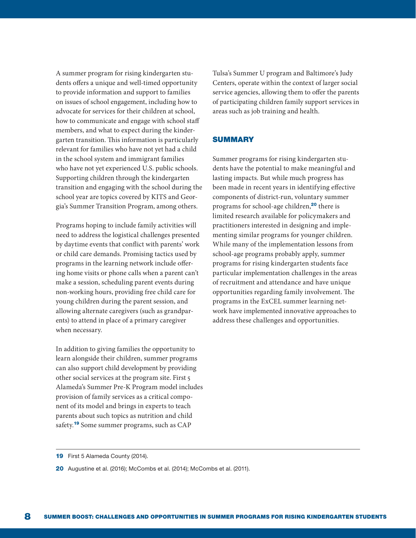A summer program for rising kindergarten students offers a unique and well-timed opportunity to provide information and support to families on issues of school engagement, including how to advocate for services for their children at school, how to communicate and engage with school staff members, and what to expect during the kindergarten transition. This information is particularly relevant for families who have not yet had a child in the school system and immigrant families who have not yet experienced U.S. public schools. Supporting children through the kindergarten transition and engaging with the school during the school year are topics covered by KITS and Georgia's Summer Transition Program, among others.

Programs hoping to include family activities will need to address the logistical challenges presented by daytime events that conflict with parents' work or child care demands. Promising tactics used by programs in the learning network include offering home visits or phone calls when a parent can't make a session, scheduling parent events during non-working hours, providing free child care for young children during the parent session, and allowing alternate caregivers (such as grandparents) to attend in place of a primary caregiver when necessary.

In addition to giving families the opportunity to learn alongside their children, summer programs can also support child development by providing other social services at the program site. First 5 Alameda's Summer Pre-K Program model includes provision of family services as a critical component of its model and brings in experts to teach parents about such topics as nutrition and child safety.<sup>19</sup> Some summer programs, such as CAP

Tulsa's Summer U program and Baltimore's Judy Centers, operate within the context of larger social service agencies, allowing them to offer the parents of participating children family support services in areas such as job training and health.

#### **SUMMARY**

Summer programs for rising kindergarten students have the potential to make meaningful and lasting impacts. But while much progress has been made in recent years in identifying effective components of district-run, voluntary summer programs for school-age children,<sup>20</sup> there is limited research available for policymakers and practitioners interested in designing and implementing similar programs for younger children. While many of the implementation lessons from school-age programs probably apply, summer programs for rising kindergarten students face particular implementation challenges in the areas of recruitment and attendance and have unique opportunities regarding family involvement. The programs in the ExCEL summer learning network have implemented innovative approaches to address these challenges and opportunities.

<sup>19</sup> First 5 Alameda County (2014).

<sup>20</sup> Augustine et al. (2016); McCombs et al. (2014); McCombs et al. (2011).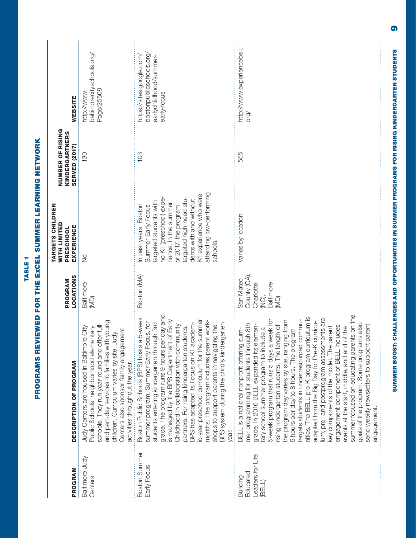| PROGRAM                                            | DESCRIPTION OF PROGRAM                                                                                                                                                                                                                                                                                                                                                                                                                                                                                                                                                                                                                                                                                                                                                                                                                                     | <b>LOCATIONS</b><br>PROGRAM                                          | TARGETS CHILDREN<br><b>WITH LIMITED</b><br>EXPERIENCE<br>PRESCHOOL                                                                                                                                                                                                     | <b>NUMBER OF RISING</b><br>KINDERGARTNERS<br><b>SERVED (2017)</b> | WEBSITE                                                                                        |
|----------------------------------------------------|------------------------------------------------------------------------------------------------------------------------------------------------------------------------------------------------------------------------------------------------------------------------------------------------------------------------------------------------------------------------------------------------------------------------------------------------------------------------------------------------------------------------------------------------------------------------------------------------------------------------------------------------------------------------------------------------------------------------------------------------------------------------------------------------------------------------------------------------------------|----------------------------------------------------------------------|------------------------------------------------------------------------------------------------------------------------------------------------------------------------------------------------------------------------------------------------------------------------|-------------------------------------------------------------------|------------------------------------------------------------------------------------------------|
| Baltimore Judy<br>Centers                          | and part-day services to families with young<br>schools. They run year-round and offer full-<br>Judy Centers are housed in Baltimore City<br>Public Schools' neighborhood elementary<br>Centers also sponsor family engagement<br>children. Curriculum varies by site. Judy<br>activities throughout the year.                                                                                                                                                                                                                                                                                                                                                                                                                                                                                                                                             | Baltimore<br>(MD)                                                    | $\frac{1}{2}$                                                                                                                                                                                                                                                          | $\frac{130}{2}$                                                   | baltimorecityschools.org/<br>Page/25508<br>nttp://www.                                         |
| <b>Boston Summer</b><br>Early Focus                | grade. The program runs 9 hours per day and<br>Boston Public Schools (BPS) hosts a 5-week<br>ic-year preschool curriculum for the summer<br>is managed by the BPS Department of Early<br>months. The program includes parent work-<br>summer program, Summer Early Focus, for<br>BPS has adapted its Focus on K1 academ-<br>students entering kindergarten through 3rd<br>BPS system during the child's kindergarten<br>Childhood in collaboration with community<br>shops to support parents in navigating the<br>partners. For rising kindergarten students,<br>vear.                                                                                                                                                                                                                                                                                    | Boston (MA)                                                          | attending low-performing<br>K1 experience who were<br>argeted high-need stu-<br>no K1 (preschool) expe-<br>dents with and without<br>targeted students with<br>rience. In the summer<br>n past years, Boston<br>Summer Early Focus<br>of 2017, the program<br>schools. | 103                                                               | bostonpublicschools.org/<br>https://sites.google.com/<br>earlychildhood/summer-<br>early-focus |
| Leaders for Life<br>Educated<br>Building<br>(BELL) | summer focused on educating parents on the<br>nities. The BELL pre-K program curriculum is<br>lum; pre- and postprogram assessments are<br>5-week program that runs 5 days a week for<br>targets students in underresourced commu-<br>the program day varies by site, ranging from<br>adapted from the Big Day for Pre-K curricu-<br>goals of the program. Some programs also<br>mer programming for students through 8th<br>rising kindergarten students. The length of<br>parent<br>grade. In 2016 BELL expanded its elemen-<br>key components of the model. The parent<br>engagement component of BELL includes<br>events at the start, middle, and end of the<br>5 hours per day to 8 hours. The program<br>tary school summer program to include a<br>BELL is a national nonprofit offering sum-<br>send weekly newsletters to support<br>engagement. | County (CA)<br>San Mateo<br>Baltimore<br>Charlotte<br>Ô<br>K<br>(MD) | Varies by location                                                                                                                                                                                                                                                     | 555                                                               | http://www.experiencebell<br>org/                                                              |

PROGRAMS REVIEWED FOR THE ExCEL SUMMER LEARNING NETWORK PROGRAMS REVIEWED FOR THE ExCEL SUMMER LEARNING NETWORK TABLE<sub>1</sub>

TABLE 1

 $\bullet$ SUMMER BOOST: CHALLENGES AND OPPORTUNITIES IN SUMMER PROGRAMS FOR RISING KINDERGARTEN STUDENTS 9

SUMMER BOOST: CHALLENGES AND OPPORTUNITIES IN SUMMER PROGRAMS FOR RISING KINDERGARTEN STUDENTS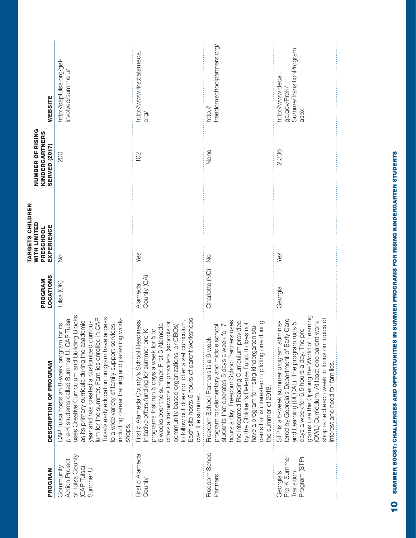| PROGRAM                                                                          | <b>DESCRIPTION OF PROGRAM</b>                                                                                                                                                                                                                                                                                                                                                                                                                      | <b>LOCATIONS</b><br>PROGRAM | TARGETS CHILDREN<br><b>WITH LIMITED</b><br>EXPERIENCE<br>PRESCHOOL | <b>NUMBER OF RISING</b><br>KINDERGARTNERS<br>SERVED (2017) | <b>WEBSITE</b>                                                       |
|----------------------------------------------------------------------------------|----------------------------------------------------------------------------------------------------------------------------------------------------------------------------------------------------------------------------------------------------------------------------------------------------------------------------------------------------------------------------------------------------------------------------------------------------|-----------------------------|--------------------------------------------------------------------|------------------------------------------------------------|----------------------------------------------------------------------|
| of Tulsa County<br><b>Action Project</b><br>Community<br>(CAP Tulsa)<br>Summer U | uses Creative Curriculum and Building Blocks<br>Tulsa's early education program have access<br>lum for the summer. Families enrolled in CAP<br>including career training and parenting work-<br>pre-K students called Summer U. CAP Tulsa<br>as its primary curricula during the academic<br>year and has created a customized curricu-<br>to a wide variety of family support services,<br>for its<br>CAP Tulsa hosts an 8-week program<br>shops. | Tulsa (OK)                  | $\frac{1}{2}$                                                      | 200                                                        | http://captulsa.org/get-<br>nvolved/summeru/                         |
| First 5 Alameda<br>County                                                        | Each site hosts 5 hours of parent workshops<br>First 5 Alameda County's School Readiness<br>to follow but does not offer a set curriculum.<br>offers a framework for providers (schools or<br>6 weeks over the summer. First 5 Alameda<br>community-based organizations, or CBOs)<br>5 to<br>Initiative offers funding for summer pre-K<br>programs that run 5 days a week for<br>over the summer.                                                 | County (CA)<br>Alameda      | Yes                                                                | 102                                                        | http://www.first5alameda<br>org/                                     |
| Freedom School<br>Partners                                                       | hours a day. Freedom School Partners uses<br>the Integrated Reading Curriculum provided<br>during<br>by the Children's Defense Fund. It does not<br>have a program for rising kindergarten stu-<br>students that operates 5 days a week for 7<br>program for elementary and middle school<br>Freedom School Partners is a 6-week<br>dents but is interested in piloting one<br>the summer of 2018.                                                 | Charlotte (NC)              | $\frac{1}{2}$                                                      | None                                                       | freedomschoolpartners.org<br>http://                                 |
| Pre-K Summer<br>Program (STP)<br>Transition<br>Georgia's                         | Learning<br>shop is held each week to focus on topics of<br>tered by Georgia's Department of Early Care<br>(OWL) Curriculum. At least one parent work-<br>STP is a 6-week summer program adminis-<br>and Learning (DECAL). The program runs 5<br>days a week for 6.5 hours a day. The pro-<br>grams use the Opening the World of<br>nterest and need for families.                                                                                 | Georgia                     | Yes                                                                | 2,336                                                      | SummerTransitionProgram.<br>http://www.decal<br>ga.gov/Prek/<br>aspx |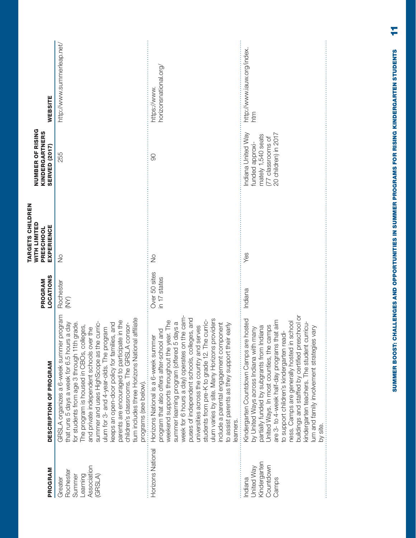| Yes<br>$\frac{0}{2}$<br>$\frac{1}{2}$<br>Over 50 sites<br>in 17 states<br>Rochester<br>Indiana<br>$\sum_{i=1}^{n}$<br>program<br>week for 6 hours a day) operates on the cam-<br>affiliate<br>puses of independent schools, colleges, and<br>ulum varies by site. Many Horizons providers<br>Kindergarten Countdown Camps are hosted<br>are 3- to 4-week half-day programs that aim<br>parents are encouraged to participate in the<br>weekend supports throughout the year. The<br>curric-<br>summer learning program (offered 5 days a<br>a day<br>keeps an open-door policy for families, and<br>include a parental engagement component<br>grade.<br>summer and uses HighScope as the curric-<br>children's classrooms. The GRSLA consor-<br>to assist parents as they support their early<br>The program is housed in CBOs, colleges,<br>United Ways. In most counties, the camps<br>universities across the country and serves<br>ulum for 3- and 4-year-olds. The program<br>partially funded by subgrants from Indiana<br>and private independent schools over the<br>by United Ways across Indiana with many<br>program that also offers after-school and<br>Horizons National is a 6-week summer<br>that runs 5 days a week for 6.5 hours<br>tium includes three Horizons National<br>students from pre-K to grade 12. The<br>for students from age 3 through 11th<br>GRSLA organizes a 6-week summer<br>programs (see below).<br>.<br>earners.<br>Horizons National<br>Kindergarten<br>Association<br>Countdown<br>United Way<br>Rochester<br>Learning<br>(GRSLA)<br>Summer<br>Greater<br>ndiana<br>Camps | DESCRIPTION OF PROGRAM                    | <b>LOCATIONS</b><br>PROGRAM | TARGETS CHILDREN<br><b>WITH LIMITED</b><br><b>EXPERIENCE</b><br>PRESCHOOL | <b>NUMBER OF RISING</b><br><b>KINDERGARTNERS</b><br>SERVED (2017)                                       | WEBSITE                              |
|----------------------------------------------------------------------------------------------------------------------------------------------------------------------------------------------------------------------------------------------------------------------------------------------------------------------------------------------------------------------------------------------------------------------------------------------------------------------------------------------------------------------------------------------------------------------------------------------------------------------------------------------------------------------------------------------------------------------------------------------------------------------------------------------------------------------------------------------------------------------------------------------------------------------------------------------------------------------------------------------------------------------------------------------------------------------------------------------------------------------------------------------------------------------------------------------------------------------------------------------------------------------------------------------------------------------------------------------------------------------------------------------------------------------------------------------------------------------------------------------------------------------------------------------------------------------------------------------------------------------|-------------------------------------------|-----------------------------|---------------------------------------------------------------------------|---------------------------------------------------------------------------------------------------------|--------------------------------------|
|                                                                                                                                                                                                                                                                                                                                                                                                                                                                                                                                                                                                                                                                                                                                                                                                                                                                                                                                                                                                                                                                                                                                                                                                                                                                                                                                                                                                                                                                                                                                                                                                                      |                                           |                             |                                                                           | 255                                                                                                     | http://www.summerleap.net/           |
|                                                                                                                                                                                                                                                                                                                                                                                                                                                                                                                                                                                                                                                                                                                                                                                                                                                                                                                                                                                                                                                                                                                                                                                                                                                                                                                                                                                                                                                                                                                                                                                                                      |                                           |                             |                                                                           | 8                                                                                                       | horizonsnational.org,<br>nttps://www |
| buildings and staffed by certified preschool or<br>ness. Camps are generally hosted in school<br>kindergarten teachers. The student curricu-<br>Vary<br>um and family involvement strategies<br>by site.                                                                                                                                                                                                                                                                                                                                                                                                                                                                                                                                                                                                                                                                                                                                                                                                                                                                                                                                                                                                                                                                                                                                                                                                                                                                                                                                                                                                             | to support children's kindergarten readi- |                             |                                                                           | ndiana United Way<br>20 children) in 2017<br>mately 1,540 seats<br>[77 classrooms of<br>funded approxi- | http://www.iauw.org/index.<br>htm    |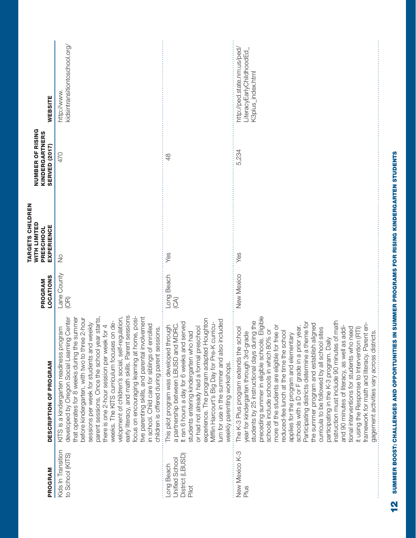| PROGRAM                                                   | <b>DESCRIPTION OF PROGRAM</b>                                                                                                                                                                                                                                                                                                                                                                                                                                                                                                                                                                                                                                                                                                                                                                                                                             | <b>LOCATIONS</b><br>PROGRAM  | TARGETS CHILDREN<br><b>WITH LIMITED</b><br>EXPERIENCE<br>PRESCHOOL | NUMBER OF RISING<br>KINDERGARTNERS<br>SERVED (2017) | <b>WEBSITE</b>                                                               |
|-----------------------------------------------------------|-----------------------------------------------------------------------------------------------------------------------------------------------------------------------------------------------------------------------------------------------------------------------------------------------------------------------------------------------------------------------------------------------------------------------------------------------------------------------------------------------------------------------------------------------------------------------------------------------------------------------------------------------------------------------------------------------------------------------------------------------------------------------------------------------------------------------------------------------------------|------------------------------|--------------------------------------------------------------------|-----------------------------------------------------|------------------------------------------------------------------------------|
| Kids In Transition<br>to School (KITS)                    | early literacy, and math skills. Parent sessions<br>developed by Oregon Social Learning Center<br>focus on encouraging learning at home, posi-<br>velopment of children's social, self-regulation,<br>tive parenting skills, and parental involvement<br>parent sessions. Once the school year starts<br>that operates for 8 weeks during the summer<br>before kindergarten, with two to three 2-hour<br>weeks. The KITS curriculum focuses on de-<br>sessions per week for students and weekly<br>in school. Child care for siblings of enrolled<br>there is one 2-hour session per week for 4<br>KITS is a kindergarten readiness program<br>children is offered during parent sessions.                                                                                                                                                                | Lane County<br>$\circled{f}$ | $\frac{1}{2}$                                                      | 470                                                 | kidsintransitiontoschool.org/<br>http://www.                                 |
| District (LBUSD)<br>Unified School<br>Long Beach<br>Pilot | experience. The program adapted Houghton<br>lum for use in the summer and also included<br>It ran 6 hours a day for 6 weeks and served<br>Mifflin Harcourt's Big Day for Pre-K curricu-<br>This pilot program was developed through<br>a partnership between LBUSD and MDRC.<br>or had not already had a formal preschool<br>students entering kindergarten who had<br>weekly parenting workshops.                                                                                                                                                                                                                                                                                                                                                                                                                                                        | Long Beach<br>(3)            | Yes                                                                | $\frac{8}{4}$                                       |                                                                              |
| New Mexico K-3<br>Plus                                    | students by 25 instructional days during the<br>preceding summer in eligible schools. Eligible<br>instruction must include 90 minutes of math<br>Participating districts determine a theme for<br>framework for math and literacy. Parent en-<br>the summer program and establish aligned<br>more of the students are eligible for free or<br>schools with a D or F grade in a prior year.<br>and 90 minutes of literacy, as well as addi-<br>The K-3 Plus program extends the school<br>curricula to be followed by all school sites<br>tional interventions for students who need<br>it using the Response to Intervention (RTI)<br>schools include schools in which 80% or<br>reduced-fee lunch at the time the school<br>year for kindergarten through 3rd-grade<br>applies for the program and elementary<br>participating in the K-3 program. Daily | New Mexico                   | Yes                                                                | 5,234                                               | nttp://ped.state.nm.us/ped/<br>LiteracyEarlyChildhoodEd<br>K3plus_index.html |
|                                                           | gagement activities vary across districts.                                                                                                                                                                                                                                                                                                                                                                                                                                                                                                                                                                                                                                                                                                                                                                                                                |                              |                                                                    |                                                     |                                                                              |

SUMMER BOOST: CHALLENGES AND OPPORTUNITIES IN SUMMER PROGRAMS FOR RISING KINDERGARTEN STUDENTS **12** SUMMER BOOST: CHALLENGES AND OPPORTUNITIES IN SUMMER PROGRAMS FOR RISING KINDERGARTEN STUDENTS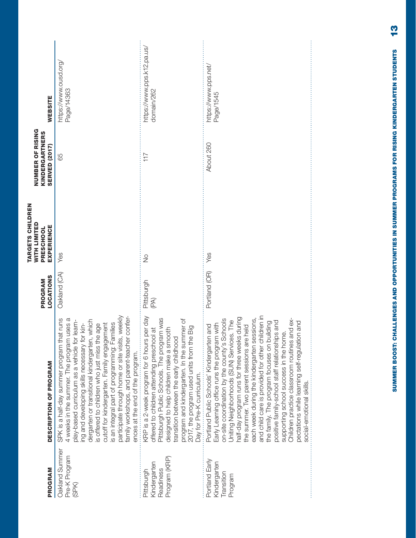| PROGRAM                                                  | DESCRIPTION OF PROGRAM                                                                                                                                                                                                                                                                                                                                                                                                                                                                                                                                                                                                                                          | <b>LOCATIONS</b><br>PROGRAM | <b>TARGETS CHILDREN</b><br><b>WITH LIMITED</b><br><b>EXPERIENCE</b><br>PRESCHOOL | <b>NUMBER OF RISING</b><br>KINDERGARTNERS<br><b>SERVED (2017)</b> | <b>WEBSITE</b>                           |
|----------------------------------------------------------|-----------------------------------------------------------------------------------------------------------------------------------------------------------------------------------------------------------------------------------------------------------------------------------------------------------------------------------------------------------------------------------------------------------------------------------------------------------------------------------------------------------------------------------------------------------------------------------------------------------------------------------------------------------------|-----------------------------|----------------------------------------------------------------------------------|-------------------------------------------------------------------|------------------------------------------|
| Oakland Summer<br>Pre-K Program<br>(SPK)                 | participate through home or site visits, weekly<br>family workshops, and parent-teacher confer-<br>SPK is a half-day summer program that runs<br>4 weeks in the summer. The program uses a<br>dergarten or transitional kindergarten, which<br>play-based curriculum as a vehicle for learn-<br>ing and developing skills necessary for kin-<br>is an integral part of programming: Families<br>cutoff for kindergarten. Family engagement<br>is offered to children who just miss the age<br>ences at the end of the program.                                                                                                                                  | Oakland (CA)                | Yes                                                                              | 65                                                                | https://www.ousd.org/<br>Page/14363      |
| Program (KRP)<br>Kindergarten<br>Readiness<br>Pittsburgh | KRP is a 2-week program for 6 hours per day<br>Pittsburgh Public Schools. The program was<br>program and kindergarten. In the summer of<br>2017, the program used units from the Big<br>designed to help children make a smooth<br>offered to children attending preschool at<br>transition between the early childhood<br>Day for Pre-K curriculum.                                                                                                                                                                                                                                                                                                            | Pittsburgh<br>(PA)          | $\frac{1}{2}$                                                                    | 117                                                               | https://www.pps.k12.pa.us/<br>domain/262 |
| Portland Early<br>Kindergarten<br>Transition<br>Program  | and child care is provided for other children in<br>half-day program runs for three weeks during<br>each week during the kindergarten sessions,<br>and ex-<br>on-site coordination by the county's Schools<br>Uniting Neighborhoods (SUN) Services. The<br>positive family-school staff relationships and<br>pectations while learning self-regulation and<br>the family. The program focuses on building<br>Early Learning office runs the program with<br>the summer. Two parent sessions are held<br>Portland Public Schools' Kindergarten and<br>supporting school success in the home.<br>Children practice classroom routines<br>social-emotional skills. | Portland (OR)               | Yes                                                                              | About 260                                                         | https://www.pps.net/<br>Page/1545        |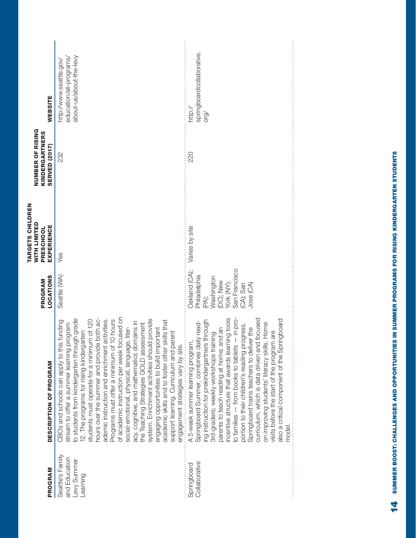| <b>WEBSITE</b>                                                                   | about-us/about-the-levy<br>education/all-programs<br>nttp://www.seattle.gov/                                                                                                                                                                                                                                                                                                                                                                                                                                                                                                                                                                                                                                                                                                                              | springboardcollaborative.<br>http://<br>org/                                                                                                                                                                                                                                                                                                                                                                                                                                                                                                                                                                                       |
|----------------------------------------------------------------------------------|-----------------------------------------------------------------------------------------------------------------------------------------------------------------------------------------------------------------------------------------------------------------------------------------------------------------------------------------------------------------------------------------------------------------------------------------------------------------------------------------------------------------------------------------------------------------------------------------------------------------------------------------------------------------------------------------------------------------------------------------------------------------------------------------------------------|------------------------------------------------------------------------------------------------------------------------------------------------------------------------------------------------------------------------------------------------------------------------------------------------------------------------------------------------------------------------------------------------------------------------------------------------------------------------------------------------------------------------------------------------------------------------------------------------------------------------------------|
| <b>NUMBER OF RISING</b><br>KINDERGARTNERS<br><b>SERVED (2017)</b>                | 232                                                                                                                                                                                                                                                                                                                                                                                                                                                                                                                                                                                                                                                                                                                                                                                                       | 220                                                                                                                                                                                                                                                                                                                                                                                                                                                                                                                                                                                                                                |
| <b>TARGETS CHILDREN</b><br><b>WITH LIMITED</b><br><b>EXPERIENCE</b><br>PRESCHOOL | Yes                                                                                                                                                                                                                                                                                                                                                                                                                                                                                                                                                                                                                                                                                                                                                                                                       | Varies by site                                                                                                                                                                                                                                                                                                                                                                                                                                                                                                                                                                                                                     |
| <b>LOCATIONS</b><br>PROGRAM                                                      | Seattle (WA)                                                                                                                                                                                                                                                                                                                                                                                                                                                                                                                                                                                                                                                                                                                                                                                              | Oakland (CA);<br>San Francisco<br>Philadelphia<br>(PA);<br>Washington<br>(DC); New<br>York (NY);<br>$(CA)$ ; San<br>Jose $(CA)$                                                                                                                                                                                                                                                                                                                                                                                                                                                                                                    |
| DESCRIPTION OF PROGRAM                                                           | of academic instruction per week focused on<br>to students from kindergarten through grade<br>hours over the summer and provide both ac-<br>students must operate for a minimum of 120<br>10 hours<br>ademic instruction and enrichment activities.<br>system. Enrichment activities should provide<br>academic skills and to foster other skills that<br>CBOs and schools can apply to this funding<br>acy, cognitive, and mathematics domains in<br>the Teaching Strategies GOLD assessment<br>stream to offer a summer learning program<br>social-emotional, physical, language, liter-<br>engaging opportunities to build important<br>12. The programs for rising kindergarten<br>support learning. Curriculum and parent<br>engagement strategies vary by site.<br>Programs must offer a minimum of | incentive structure that awards learning tools<br>curriculum, which is data driven and focused<br>$-$ in pro-<br>also a critical component of the Springboard<br>Springboard Summer, combines daily read-<br>ing instruction for prekindergartners through<br>on improving students' literacy skills. Home<br>portion to their children's reading progress.<br>parents to teach reading at home; and an<br>Springboard trains teachers to deliver the<br>visits before the start of the program are<br>3rd-graders; weekly workshops training<br>A 5-week summer learning program<br>to families - from books to tablets<br>model. |
| PROGRAM                                                                          | Seattle's Family<br>and Education<br>Levy Summer<br>_earning                                                                                                                                                                                                                                                                                                                                                                                                                                                                                                                                                                                                                                                                                                                                              | Collaborative<br>Springboard                                                                                                                                                                                                                                                                                                                                                                                                                                                                                                                                                                                                       |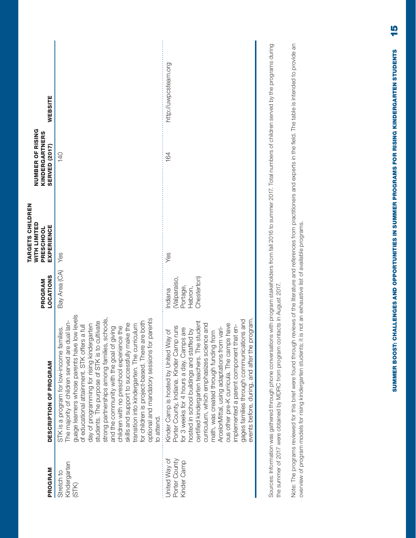| 164<br><b>140</b><br>Bay Area (CA) Yes<br>Yes<br>Chesterton)<br>(Valparaiso,<br>Portage,<br>Hebron,<br>Indiana<br>guage learners whose parents have low levels<br>schools<br>parents<br>The majority of children served are dual lan-<br>for children is project-based. There are both<br>day of programming for rising kindergarten<br>students. The purpose of STK is to cultivate<br>certified kindergarten teachers. The student<br>curriculum, which emphasizes science and<br>skills and support to successfully make the<br>transition into kindergarten. The curriculum<br>ous other pre-K curricula. The camps have<br>of educational attainment. STK offers a full<br>implemented a parent component that en-<br>and the community with the goal of giving<br>children with no preschool experience the<br>Porter County, Indiana. Kinder Camp runs<br>ArcelorMittal, using adaptations from vari-<br>STK is a program for low-income families.<br>for 3 weeks for 4 hours a day. Camps are<br>hosted in school buildings and staffed by<br>Kinder Camp is hosted by United Way of<br>math, was created through funding from<br>optional and mandatory sessions for<br>strong partnerships among families,<br>to attend.<br>Porter County<br>United Way of<br>Kinder Camp<br>Kindergarten<br>Stretch to<br>(STK) | PROGRAM | DESCRIPTION OF PROGRAM                    | <b>LOCATIONS</b><br>PROGRAM | TARGETS CHILDREN<br>WITH LIMITED<br>EXPERIENCE<br>PRESCHOOL | <b>NUMBER OF RISING</b><br>KINDERGARTNERS<br>SERVED (2017) | <b>WEBSITE</b>       |
|----------------------------------------------------------------------------------------------------------------------------------------------------------------------------------------------------------------------------------------------------------------------------------------------------------------------------------------------------------------------------------------------------------------------------------------------------------------------------------------------------------------------------------------------------------------------------------------------------------------------------------------------------------------------------------------------------------------------------------------------------------------------------------------------------------------------------------------------------------------------------------------------------------------------------------------------------------------------------------------------------------------------------------------------------------------------------------------------------------------------------------------------------------------------------------------------------------------------------------------------------------------------------------------------------------------------------|---------|-------------------------------------------|-----------------------------|-------------------------------------------------------------|------------------------------------------------------------|----------------------|
|                                                                                                                                                                                                                                                                                                                                                                                                                                                                                                                                                                                                                                                                                                                                                                                                                                                                                                                                                                                                                                                                                                                                                                                                                                                                                                                            |         |                                           |                             |                                                             |                                                            |                      |
| events before, during, and after the program.                                                                                                                                                                                                                                                                                                                                                                                                                                                                                                                                                                                                                                                                                                                                                                                                                                                                                                                                                                                                                                                                                                                                                                                                                                                                              |         | gages families through communications and |                             |                                                             |                                                            | http://uwpcsteam.org |

Sources: Information was gathered through phone conversations with program stakeholders from fall 2016 to summer 2017. Total numbers of children served by the programs during Sources: Information was gathered through phone conversations with program stakeholders from fall 2016 to summer 2017. Total numbers of children served by the programs during the summer of 2017 were obtained by MDRC from program contacts in August 2017. the summer of 2017 were obtained by MDRC from program contacts in August 2017. Note: The programs reviewed for this brief were found through reviews of the literature and references from practitioners and experts in the field. The table is intended to provide an Note: The programs reviewed for this brief were found through reviews of the literature and references from practitioners and experts in the field. The table is intended to provide an overview of program models for rising kindergarten students; it is not an exhaustive list of available programs. overview of program models for rising kindergarten students; it is not an exhaustive list of available programs.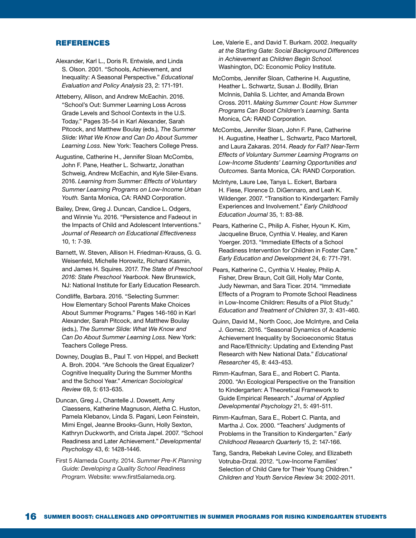#### REFERENCES

- Alexander, Karl L., Doris R. Entwisle, and Linda S. Olson. 2001. "Schools, Achievement, and Inequality: A Seasonal Perspective." *Educational Evaluation and Policy Analysis* 23, 2: 171-191.
- Atteberry, Allison, and Andrew McEachin. 2016. "School's Out: Summer Learning Loss Across Grade Levels and School Contexts in the U.S. Today." Pages 35-54 in Karl Alexander, Sarah Pitcock, and Matthew Boulay (eds.), *The Summer Slide: What We Know and Can Do About Summer Learning Loss.* New York: Teachers College Press.
- Augustine, Catherine H., Jennifer Sloan McCombs, John F. Pane, Heather L. Schwartz, Jonathan Schweig, Andrew McEachin, and Kyle Siler-Evans. 2016. *Learning from Summer: Effects of Voluntary Summer Learning Programs on Low-Income Urban Youth.* Santa Monica, CA: RAND Corporation.
- Bailey, Drew, Greg J. Duncan, Candice L. Odgers, and Winnie Yu. 2016. "Persistence and Fadeout in the Impacts of Child and Adolescent Interventions." *Journal of Research on Educational Effectiveness*  10, 1: 7-39.
- Barnett, W. Steven, Allison H. Friedman-Krauss, G. G. Weisenfeld, Michelle Horowitz, Richard Kasmin, and James H. Squires. 2017. *The State of Preschool 2016: State Preschool Yearbook.* New Brunswick, NJ: National Institute for Early Education Research.
- Condliffe, Barbara. 2016. "Selecting Summer: How Elementary School Parents Make Choices About Summer Programs." Pages 146-160 in Karl Alexander, Sarah Pitcock, and Matthew Boulay (eds.), *The Summer Slide: What We Know and Can Do About Summer Learning Loss.* New York: Teachers College Press.
- Downey, Douglas B., Paul T. von Hippel, and Beckett A. Broh. 2004. "Are Schools the Great Equalizer? Cognitive Inequality During the Summer Months and the School Year." *American Sociological Review* 69, 5: 613-635.
- Duncan, Greg J., Chantelle J. Dowsett, Amy Claessens, Katherine Magnuson, Aletha C. Huston, Pamela Klebanov, Linda S. Pagani, Leon Feinstein, Mimi Engel, Jeanne Brooks-Gunn, Holly Sexton, Kathryn Duckworth, and Crista Japel. 2007. "School Readiness and Later Achievement." *Developmental Psychology* 43, 6: 1428-1446.
- First 5 Alameda County. 2014. *Summer Pre-K Planning Guide: Developing a Quality School Readiness Program.* Website: www.first5alameda.org.
- Lee, Valerie E., and David T. Burkam. 2002. *Inequality at the Starting Gate: Social Background Differences in Achievement as Children Begin School.* Washington, DC: Economic Policy Institute.
- McCombs, Jennifer Sloan, Catherine H. Augustine, Heather L. Schwartz, Susan J. Bodilly, Brian McInnis, Dahlia S. Lichter, and Amanda Brown Cross. 2011. *Making Summer Count: How Summer Programs Can Boost Children's Learning.* Santa Monica, CA: RAND Corporation.
- McCombs, Jennifer Sloan, John F. Pane, Catherine H. Augustine, Heather L. Schwartz, Paco Martorell, and Laura Zakaras. 2014. *Ready for Fall? Near-Term Effects of Voluntary Summer Learning Programs on Low-Income Students' Learning Opportunities and Outcomes.* Santa Monica, CA: RAND Corporation.
- McIntyre, Laure Lee, Tanya L. Eckert, Barbara H. Fiese, Florence D. DiGennaro, and Leah K. Wildenger. 2007. "Transition to Kindergarten: Family Experiences and Involvement." *Early Childhood Education Journal* 35, 1: 83-88.
- Pears, Katherine C., Philip A. Fisher, Hyoun K. Kim, Jacqueline Bruce, Cynthia V. Healey, and Karen Yoerger. 2013. "Immediate Effects of a School Readiness Intervention for Children in Foster Care." *Early Education and Development* 24, 6: 771-791.
- Pears, Katherine C., Cynthia V. Healey, Philip A. Fisher, Drew Braun, Colt Gill, Holly Mar Conte, Judy Newman, and Sara Ticer. 2014. "Immediate Effects of a Program to Promote School Readiness in Low-Income Children: Results of a Pilot Study." *Education and Treatment of Children* 37, 3: 431-460.
- Quinn, David M., North Cooc, Joe McIntyre, and Celia J. Gomez. 2016. "Seasonal Dynamics of Academic Achievement Inequality by Socioeconomic Status and Race/Ethnicity: Updating and Extending Past Research with New National Data." *Educational Researcher* 45, 8: 443-453.
- Rimm-Kaufman, Sara E., and Robert C. Pianta. 2000. "An Ecological Perspective on the Transition to Kindergarten: A Theoretical Framework to Guide Empirical Research." *Journal of Applied Developmental Psychology* 21, 5: 491-511.
- Rimm-Kaufman, Sara E., Robert C. Pianta, and Martha J. Cox. 2000. "Teachers' Judgments of Problems in the Transition to Kindergarten." *Early Childhood Research Quarterly* 15, 2: 147-166.
- Tang, Sandra, Rebekah Levine Coley, and Elizabeth Votruba-Drzal. 2012. "Low-Income Families' Selection of Child Care for Their Young Children." *Children and Youth Service Review* 34: 2002-2011.